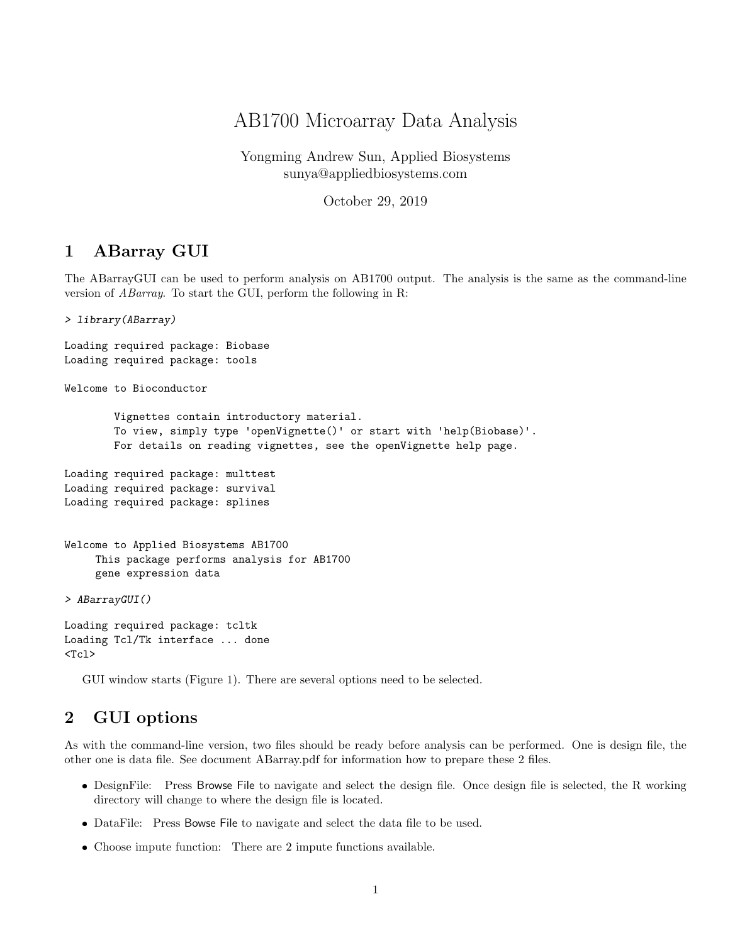## AB1700 Microarray Data Analysis

Yongming Andrew Sun, Applied Biosystems sunya@appliedbiosystems.com

October 29, 2019

## 1 ABarray GUI

The ABarrayGUI can be used to perform analysis on AB1700 output. The analysis is the same as the command-line version of ABarray. To start the GUI, perform the following in R:

> library(ABarray)

```
Loading required package: Biobase
Loading required package: tools
Welcome to Bioconductor
        Vignettes contain introductory material.
        To view, simply type 'openVignette()' or start with 'help(Biobase)'.
        For details on reading vignettes, see the openVignette help page.
Loading required package: multtest
Loading required package: survival
Loading required package: splines
Welcome to Applied Biosystems AB1700
     This package performs analysis for AB1700
     gene expression data
> ABarrayGUI()
Loading required package: tcltk
Loading Tcl/Tk interface ... done
<Tcl>
```
GUI window starts (Figure 1). There are several options need to be selected.

## 2 GUI options

As with the command-line version, two files should be ready before analysis can be performed. One is design file, the other one is data file. See document ABarray.pdf for information how to prepare these 2 files.

- DesignFile: Press Browse File to navigate and select the design file. Once design file is selected, the R working directory will change to where the design file is located.
- DataFile: Press Bowse File to navigate and select the data file to be used.
- Choose impute function: There are 2 impute functions available.